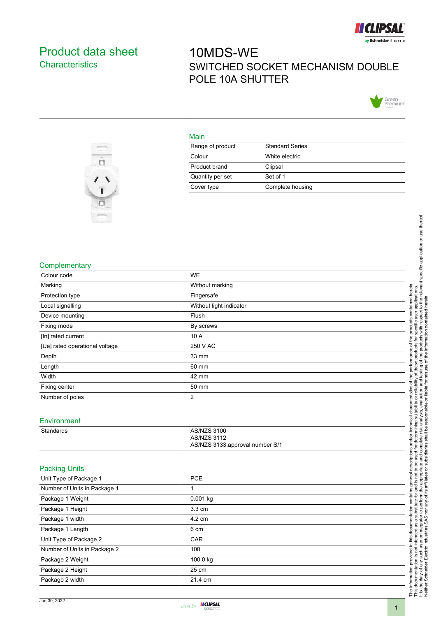

## <span id="page-0-0"></span>Product data sheet **Characteristics**

# 10MDS-WE SWITCHED SOCKET MECHANISM DOUBLE POLE 10A SHUTTER



#### Main

| Range of product | <b>Standard Series</b> |
|------------------|------------------------|
| Colour           | White electric         |
| Product brand    | Clipsal                |
| Quantity per set | Set of 1               |
| Cover type       | Complete housing       |



#### **Complementary**

| Colour code                    | <b>WE</b>               |  |
|--------------------------------|-------------------------|--|
| Marking                        | Without marking         |  |
| Protection type                | Fingersafe              |  |
| Local signalling               | Without light indicator |  |
| Device mounting                | Flush                   |  |
| Fixing mode                    | By screws               |  |
| [In] rated current             | 10 A                    |  |
| [Ue] rated operational voltage | 250 V AC                |  |
| Depth                          | 33 mm                   |  |
| Length                         | 60 mm                   |  |
| Width                          | 42 mm                   |  |
| Fixing center                  | 50 mm                   |  |
| Number of poles                | 2                       |  |

#### Environment

| Standards | AS/NZS 3100                      |
|-----------|----------------------------------|
|           | AS/NZS 3112                      |
|           | AS/NZS 3133: approval number S/1 |

#### Packing Units

| Unit Type of Package 1       | <b>PCE</b>       |  |
|------------------------------|------------------|--|
| Number of Units in Package 1 |                  |  |
| Package 1 Weight             | $0.001$ kg       |  |
| Package 1 Height             | $3.3 \text{ cm}$ |  |
| Package 1 width              | 4.2 cm           |  |
| Package 1 Length             | 6 cm             |  |
| Unit Type of Package 2       | CAR              |  |
| Number of Units in Package 2 | 100              |  |
| Package 2 Weight             | 100.0 kg         |  |
| Package 2 Height             | 25 cm            |  |
| Package 2 width              | 21.4 cm          |  |